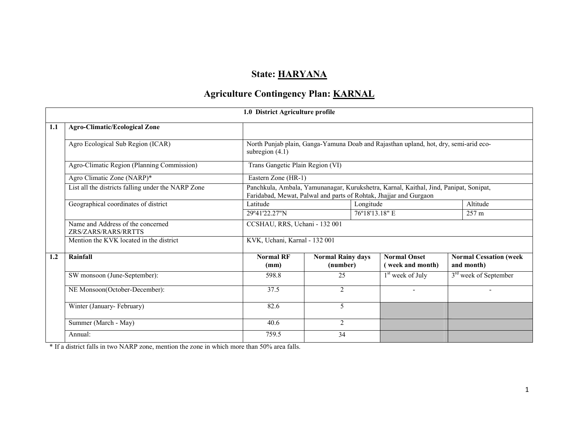# State: HARYANA

# Agriculture Contingency Plan: KARNAL

|     |                                                          | 1.0 District Agriculture profile                                                                                                                           |                                      |                                         |                                             |  |  |
|-----|----------------------------------------------------------|------------------------------------------------------------------------------------------------------------------------------------------------------------|--------------------------------------|-----------------------------------------|---------------------------------------------|--|--|
| 1.1 | <b>Agro-Climatic/Ecological Zone</b>                     |                                                                                                                                                            |                                      |                                         |                                             |  |  |
|     | Agro Ecological Sub Region (ICAR)                        | North Punjab plain, Ganga-Yamuna Doab and Rajasthan upland, hot, dry, semi-arid eco-<br>subregion $(4.1)$                                                  |                                      |                                         |                                             |  |  |
|     | Agro-Climatic Region (Planning Commission)               | Trans Gangetic Plain Region (VI)                                                                                                                           |                                      |                                         |                                             |  |  |
|     | Agro Climatic Zone (NARP)*                               | Eastern Zone (HR-1)                                                                                                                                        |                                      |                                         |                                             |  |  |
|     | List all the districts falling under the NARP Zone       | Panchkula, Ambala, Yamunanagar, Kurukshetra, Karnal, Kaithal, Jind, Panipat, Sonipat,<br>Faridabad, Mewat, Palwal and parts of Rohtak, Jhajjar and Gurgaon |                                      |                                         |                                             |  |  |
|     | Geographical coordinates of district                     | Latitude<br>Longitude                                                                                                                                      |                                      |                                         |                                             |  |  |
|     |                                                          | 29°41'22.27"N                                                                                                                                              | 76°18'13.18" E                       |                                         | 257 m                                       |  |  |
|     | Name and Address of the concerned<br>ZRS/ZARS/RARS/RRTTS | CCSHAU, RRS, Uchani - 132 001                                                                                                                              |                                      |                                         |                                             |  |  |
|     | Mention the KVK located in the district                  | KVK, Uchani, Karnal - 132 001                                                                                                                              |                                      |                                         |                                             |  |  |
| 1.2 | Rainfall                                                 | <b>Normal RF</b><br>(mm)                                                                                                                                   | <b>Normal Rainy days</b><br>(number) | <b>Normal Onset</b><br>(week and month) | <b>Normal Cessation (week</b><br>and month) |  |  |
|     | SW monsoon (June-September):                             | 598.8                                                                                                                                                      | 25                                   | $1st$ week of July                      | 3 <sup>rd</sup> week of September           |  |  |
|     | NE Monsoon(October-December):                            | 37.5                                                                                                                                                       | $\overline{2}$                       | $\overline{\phantom{a}}$                |                                             |  |  |
|     | Winter (January-February)                                | 82.6                                                                                                                                                       | 5                                    |                                         |                                             |  |  |
|     | Summer (March - May)                                     | 40.6                                                                                                                                                       | 2                                    |                                         |                                             |  |  |
|     | Annual:                                                  | 759.5                                                                                                                                                      | 34                                   |                                         |                                             |  |  |

\* If a district falls in two NARP zone, mention the zone in which more than 50% area falls.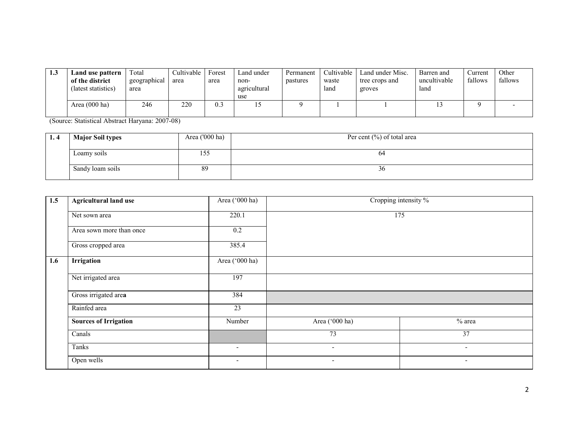| 1.3 | Land use pattern<br>of the district<br>(latest statistics) | Total<br>geographical<br>area | Cultivable<br>area | Forest<br>area | Land under<br>non-<br>agricultural<br>use | Permanent<br>pastures | Cultivable<br>waste<br>land | Land under Misc.<br>tree crops and<br>groves | Barren and<br>uncultivable<br>land | Current<br>fallows | Other<br>fallows |
|-----|------------------------------------------------------------|-------------------------------|--------------------|----------------|-------------------------------------------|-----------------------|-----------------------------|----------------------------------------------|------------------------------------|--------------------|------------------|
|     | Area $(000 \text{ ha})$                                    | 246                           | 220                | 0.3            |                                           |                       |                             |                                              |                                    |                    |                  |

(Source: Statistical Abstract Haryana: 2007-08)

| 1.4 | <b>Major Soil types</b> | Area $(000 \text{ ha})$ | Per cent $(\%)$ of total area |
|-----|-------------------------|-------------------------|-------------------------------|
|     |                         |                         |                               |
|     | Loamy soils             | 155                     | 04                            |
|     | Sandy loam soils        | 89                      | 30 <sup>°</sup>               |

| 1.5 | <b>Agricultural land use</b> | Area ('000 ha)           | Cropping intensity %     |                          |  |  |
|-----|------------------------------|--------------------------|--------------------------|--------------------------|--|--|
|     | Net sown area                | 220.1                    | 175                      |                          |  |  |
|     | Area sown more than once     | 0.2                      |                          |                          |  |  |
|     | Gross cropped area           | 385.4                    |                          |                          |  |  |
| 1.6 | <b>Irrigation</b>            | Area ('000 ha)           |                          |                          |  |  |
|     | Net irrigated area           | 197                      |                          |                          |  |  |
|     | Gross irrigated area         | 384                      |                          |                          |  |  |
|     | Rainfed area                 | 23                       |                          |                          |  |  |
|     | <b>Sources of Irrigation</b> | Number                   | Area ('000 ha)           | % area                   |  |  |
|     | Canals                       |                          | 73                       | $\overline{37}$          |  |  |
|     | Tanks                        | $\overline{\phantom{a}}$ | $\overline{\phantom{0}}$ | $\blacksquare$           |  |  |
|     | Open wells                   | $\overline{\phantom{a}}$ | $\overline{\phantom{a}}$ | $\overline{\phantom{a}}$ |  |  |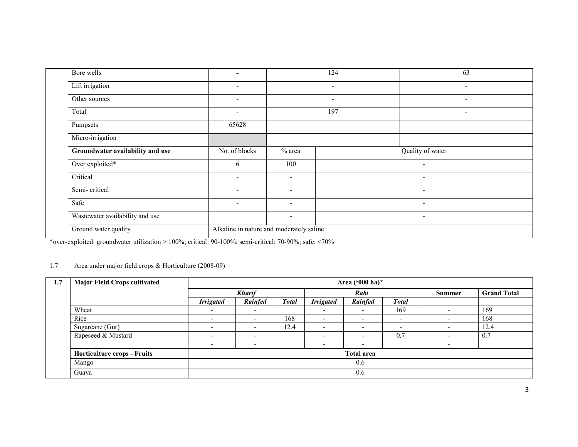| Bore wells                       | $\overline{\phantom{0}}$                 |                          | 124                      | 63                       |
|----------------------------------|------------------------------------------|--------------------------|--------------------------|--------------------------|
| Lift irrigation                  | $\overline{\phantom{a}}$                 |                          | $\overline{\phantom{a}}$ | $\overline{\phantom{0}}$ |
| Other sources                    | $\overline{\phantom{a}}$                 |                          | $\overline{\phantom{a}}$ | ٠                        |
| Total                            | $\blacksquare$                           |                          | 197                      | $\overline{\phantom{a}}$ |
| Pumpsets                         | 65628                                    |                          |                          |                          |
| Micro-irrigation                 |                                          |                          |                          |                          |
| Groundwater availability and use | No. of blocks                            | $%$ area                 |                          | Quality of water         |
| Over exploited*                  | 6                                        | 100                      |                          | $\sim$                   |
| Critical                         | $\overline{\phantom{0}}$                 | $\overline{\phantom{0}}$ |                          | $\overline{\phantom{a}}$ |
| Semi-critical                    | $\overline{\phantom{0}}$                 | $\blacksquare$           |                          | $\overline{\phantom{a}}$ |
| Safe                             | $\overline{\phantom{a}}$                 | $\overline{\phantom{a}}$ |                          | $\overline{\phantom{a}}$ |
| Wastewater availability and use  |                                          | $\overline{\phantom{a}}$ |                          | $\overline{\phantom{a}}$ |
| Ground water quality             | Alkaline in nature and moderately saline |                          |                          |                          |

\*over-exploited: groundwater utilization > 100%; critical: 90-100%; semi-critical: 70-90%; safe: <70%

#### 1.7 Area under major field crops & Horticulture (2008-09)

| 1.7 | <b>Major Field Crops cultivated</b> |                          | Area ('000 ha)*          |              |                          |                          |                          |                          |      |  |  |
|-----|-------------------------------------|--------------------------|--------------------------|--------------|--------------------------|--------------------------|--------------------------|--------------------------|------|--|--|
|     |                                     |                          | <b>Kharif</b><br>Rabi    |              |                          | <b>Summer</b>            |                          | <b>Grand Total</b>       |      |  |  |
|     |                                     | <b>Irrigated</b>         | Rainfed                  | <b>Total</b> | <b>Irrigated</b>         | Rainfed                  | <b>Total</b>             |                          |      |  |  |
|     | Wheat                               | $\overline{\phantom{0}}$ |                          |              | $\overline{\phantom{a}}$ | $\overline{\phantom{a}}$ | 169                      |                          | 169  |  |  |
|     | Rice                                | $\overline{\phantom{0}}$ | $\overline{\phantom{a}}$ | 168          | $\overline{\phantom{0}}$ | $\overline{\phantom{a}}$ | $\overline{\phantom{0}}$ | -                        | 168  |  |  |
|     | Sugarcane (Gur)                     | $\overline{\phantom{a}}$ | $\overline{\phantom{a}}$ | 12.4         | $\overline{\phantom{a}}$ | $\overline{\phantom{0}}$ | $\overline{\phantom{0}}$ | $\overline{\phantom{0}}$ | 12.4 |  |  |
|     | Rapeseed & Mustard                  | $\overline{\phantom{0}}$ | $\overline{\phantom{a}}$ |              |                          | $\overline{\phantom{a}}$ | 0.7                      | -                        | 0.7  |  |  |
|     |                                     |                          |                          |              |                          |                          |                          |                          |      |  |  |
|     | <b>Horticulture crops - Fruits</b>  | <b>Total area</b><br>0.6 |                          |              |                          |                          |                          |                          |      |  |  |
|     | Mango                               |                          |                          |              |                          |                          |                          |                          |      |  |  |
|     | Guava                               |                          |                          |              |                          | 0.6                      |                          |                          |      |  |  |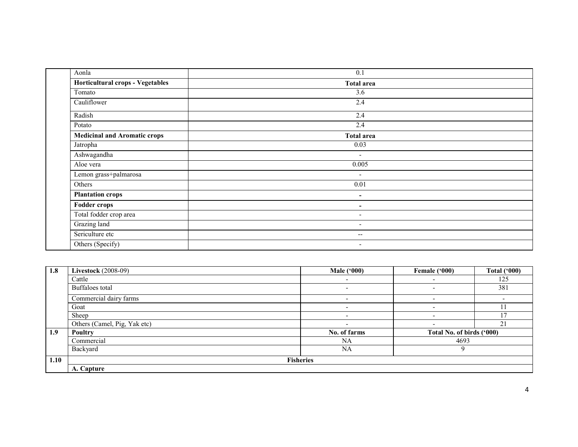| Aonla                               | 0.1                      |  |
|-------------------------------------|--------------------------|--|
| Horticultural crops - Vegetables    | <b>Total area</b>        |  |
| Tomato                              | 3.6                      |  |
| Cauliflower                         | 2.4                      |  |
| Radish                              | 2.4                      |  |
| Potato                              | 2.4                      |  |
| <b>Medicinal and Aromatic crops</b> | <b>Total area</b>        |  |
| Jatropha                            | 0.03                     |  |
| Ashwagandha                         | $\overline{\phantom{a}}$ |  |
| Aloe vera                           | 0.005                    |  |
| Lemon grass+palmarosa               | $\overline{\phantom{a}}$ |  |
| Others                              | 0.01                     |  |
| <b>Plantation crops</b>             | $\overline{\phantom{a}}$ |  |
| <b>Fodder crops</b>                 | $\blacksquare$           |  |
| Total fodder crop area              | $\overline{\phantom{a}}$ |  |
| Grazing land                        | $\overline{\phantom{a}}$ |  |
| Sericulture etc                     | --                       |  |
| Others (Specify)                    | $\overline{\phantom{a}}$ |  |

| 1.8              | <b>Livestock</b> (2008-09)   | <b>Male ('000)</b>       | Female ('000)             | <b>Total ('000)</b> |
|------------------|------------------------------|--------------------------|---------------------------|---------------------|
|                  | Cattle                       |                          |                           | 125                 |
|                  | Buffaloes total              | $\overline{\phantom{a}}$ | $\overline{\phantom{0}}$  | 381                 |
|                  | Commercial dairy farms       | $\overline{\phantom{a}}$ | $\overline{\phantom{0}}$  |                     |
|                  | Goat                         | $\overline{\phantom{0}}$ | $\overline{\phantom{a}}$  | 11                  |
|                  | Sheep                        |                          |                           | 17                  |
|                  | Others (Camel, Pig, Yak etc) | $\overline{\phantom{0}}$ | $\overline{\phantom{0}}$  | 21                  |
| 1.9 <sup>°</sup> | Poultry                      | No. of farms             | Total No. of birds ('000) |                     |
|                  | Commercial                   | <b>NA</b>                | 4693                      |                     |
|                  | Backyard                     | <b>NA</b>                | 9                         |                     |
| 1.10             |                              | <b>Fisheries</b>         |                           |                     |
|                  | A. Capture                   |                          |                           |                     |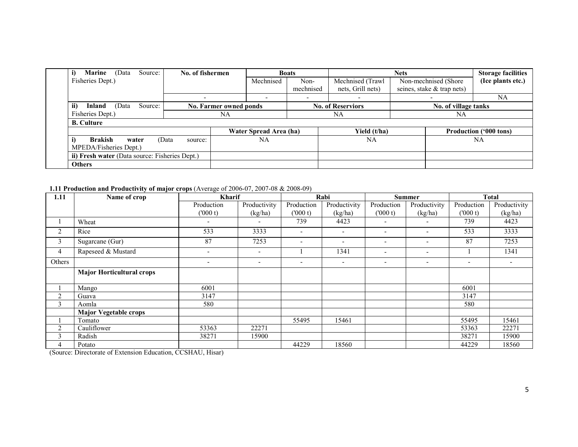| Source:<br>i)<br><b>Marine</b><br>(Data                 | No. of fishermen |                        | <b>Boats</b> |                          | <b>Nets</b>                |                               |
|---------------------------------------------------------|------------------|------------------------|--------------|--------------------------|----------------------------|-------------------------------|
| Fisheries Dept.)                                        |                  | Mechnised              | Non-         | Mechnised (Trawl         | Non-mechnised (Shore       | (Ice plants etc.)             |
|                                                         |                  |                        | mechnised    | nets, Grill nets)        | seines, stake & trap nets) |                               |
|                                                         |                  | -                      |              |                          |                            | <b>NA</b>                     |
| Source:<br>ii)<br>Inland<br>(Data                       |                  | No. Farmer owned ponds |              | <b>No. of Reserviors</b> | No. of village tanks       |                               |
| Fisheries Dept.)                                        |                  | NΑ                     |              | <b>NA</b>                | NA                         |                               |
| <b>B.</b> Culture                                       |                  |                        |              |                          |                            |                               |
|                                                         |                  | Water Spread Area (ha) |              | Yield (t/ha)             |                            | <b>Production ('000 tons)</b> |
| i)<br><b>Brakish</b><br>water<br>MPEDA/Fisheries Dept.) | (Data<br>source: | NA                     |              | NA                       |                            | NA                            |
| ii) Fresh water (Data source: Fisheries Dept.)          |                  |                        |              |                          |                            |                               |
| <b>Others</b>                                           |                  |                        |              |                          |                            |                               |

## 1.11 Production and Productivity of major crops (Average of 2006-07, 2007-08 & 2008-09)

| 1.11           | Name of crop                     | <b>Kharif</b> |                          | Rabi                     |                          |                          | <b>Summer</b>            |            | <b>Total</b> |
|----------------|----------------------------------|---------------|--------------------------|--------------------------|--------------------------|--------------------------|--------------------------|------------|--------------|
|                |                                  | Production    | Productivity             | Production               | Productivity             | Production               | Productivity             | Production | Productivity |
|                |                                  | (1000 t)      | (kg/ha)                  | (1000 t)                 | (kg/ha)                  | (1000 t)                 | (kg/ha)                  | (000 t)    | (kg/ha)      |
|                | Wheat                            | -             |                          | 739                      | 4423                     | $\overline{\phantom{a}}$ | $\overline{\phantom{a}}$ | 739        | 4423         |
| $\overline{2}$ | Rice                             | 533           | 3333                     | $\overline{\phantom{a}}$ | $\overline{\phantom{a}}$ | $\overline{\phantom{a}}$ | $\overline{\phantom{a}}$ | 533        | 3333         |
| 3              | Sugarcane (Gur)                  | 87            | 7253                     | $\overline{\phantom{0}}$ | $\overline{\phantom{a}}$ | $\overline{\phantom{a}}$ | $\overline{\phantom{a}}$ | 87         | 7253         |
| 4              | Rapeseed & Mustard               | ۰             | $\overline{\phantom{a}}$ |                          | 1341                     |                          | $\overline{\phantom{a}}$ |            | 1341         |
| Others         |                                  | -             |                          |                          |                          | $\overline{\phantom{a}}$ | $\overline{\phantom{a}}$ |            |              |
|                | <b>Major Horticultural crops</b> |               |                          |                          |                          |                          |                          |            |              |
|                | Mango                            | 6001          |                          |                          |                          |                          |                          | 6001       |              |
| $\overline{2}$ | Guava                            | 3147          |                          |                          |                          |                          |                          | 3147       |              |
| 3              | Aomla                            | 580           |                          |                          |                          |                          |                          | 580        |              |
|                | <b>Major Vegetable crops</b>     |               |                          |                          |                          |                          |                          |            |              |
|                | Tomato                           |               |                          | 55495                    | 15461                    |                          |                          | 55495      | 15461        |
| $\overline{c}$ | Cauliflower                      | 53363         | 22271                    |                          |                          |                          |                          | 53363      | 22271        |
| 3              | Radish                           | 38271         | 15900                    |                          |                          |                          |                          | 38271      | 15900        |
| 4              | Potato                           |               |                          | 44229                    | 18560                    |                          |                          | 44229      | 18560        |

(Source: Directorate of Extension Education, CCSHAU, Hisar)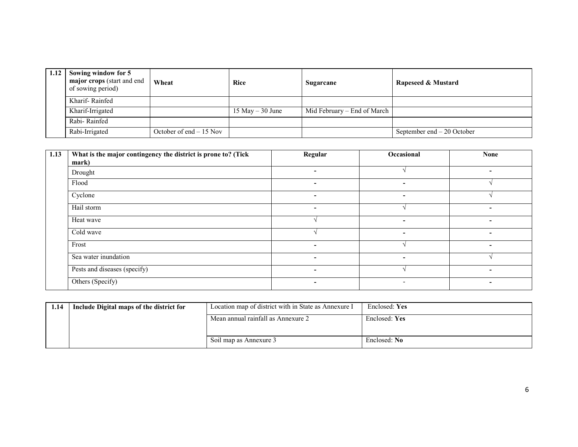| 1.12 | Sowing window for 5<br>major crops (start and end<br>of sowing period) | Wheat                    | <b>Rice</b>        | Sugarcane                   | Rapeseed & Mustard          |
|------|------------------------------------------------------------------------|--------------------------|--------------------|-----------------------------|-----------------------------|
|      | Kharif-Rainfed                                                         |                          |                    |                             |                             |
|      | Kharif-Irrigated                                                       |                          | 15 May $-$ 30 June | Mid February – End of March |                             |
|      | Rabi-Rainfed                                                           |                          |                    |                             |                             |
|      | Rabi-Irrigated                                                         | October of end $-15$ Nov |                    |                             | September end $-20$ October |

| 1.13 | What is the major contingency the district is prone to? (Tick<br>mark) | Regular                  | Occasional               | <b>None</b>              |
|------|------------------------------------------------------------------------|--------------------------|--------------------------|--------------------------|
|      | Drought                                                                | $\overline{\phantom{0}}$ |                          | $\overline{\phantom{0}}$ |
|      | Flood                                                                  | ٠                        |                          |                          |
|      | Cyclone                                                                | ٠                        | $\overline{\phantom{a}}$ |                          |
|      | Hail storm                                                             | ٠                        |                          | $\overline{\phantom{a}}$ |
|      | Heat wave                                                              |                          | $\overline{\phantom{a}}$ | $\overline{\phantom{a}}$ |
|      | Cold wave                                                              |                          | $\sim$                   | $\overline{\phantom{a}}$ |
|      | Frost                                                                  | $\overline{\phantom{0}}$ |                          | $\overline{\phantom{0}}$ |
|      | Sea water inundation                                                   | ٠                        |                          |                          |
|      | Pests and diseases (specify)                                           | $\overline{\phantom{0}}$ |                          |                          |
|      | Others (Specify)                                                       | $\overline{\phantom{0}}$ | $\overline{\phantom{0}}$ | $\overline{\phantom{0}}$ |

| 1.14 | Include Digital maps of the district for | Location map of district with in State as Annexure I | Enclosed: Yes |
|------|------------------------------------------|------------------------------------------------------|---------------|
|      |                                          | Mean annual rainfall as Annexure 2                   | Enclosed: Yes |
|      |                                          |                                                      |               |
|      |                                          | Soil map as Annexure 3                               | Enclosed: No  |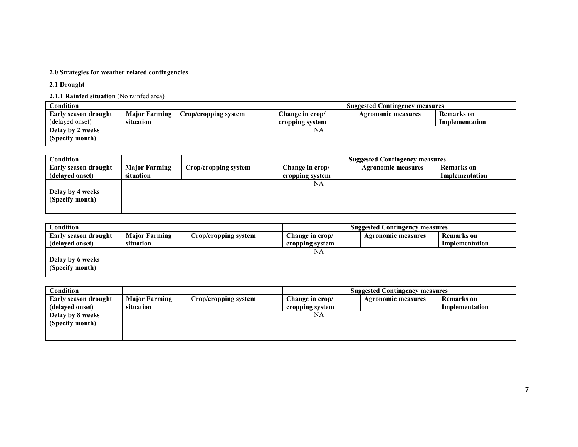#### 2.0 Strategies for weather related contingencies

2.1 Drought

2.1.1 Rainfed situation (No rainfed area)

| Condition            |           |                                      | <b>Suggested Contingency measures</b> |                    |                   |
|----------------------|-----------|--------------------------------------|---------------------------------------|--------------------|-------------------|
| Early season drought |           | Major Farming   Crop/cropping system | Change in crop/                       | Agronomic measures | <b>Remarks</b> on |
| (delayed onset)      | situation |                                      | cropping system                       |                    | Implementation    |
| Delay by 2 weeks     |           |                                      | NA                                    |                    |                   |
| (Specify month)      |           |                                      |                                       |                    |                   |

| Condition            |                      |                      |                 | <b>Suggested Contingency measures</b> |                |
|----------------------|----------------------|----------------------|-----------------|---------------------------------------|----------------|
| Early season drought | <b>Major Farming</b> | Crop/cropping system | Change in crop/ | <b>Agronomic measures</b>             | Remarks on     |
| (delayed onset)      | situation            |                      | cropping system |                                       | Implementation |
|                      |                      |                      | NA              |                                       |                |
| Delay by 4 weeks     |                      |                      |                 |                                       |                |
| (Specify month)      |                      |                      |                 |                                       |                |
|                      |                      |                      |                 |                                       |                |

| Condition                   |                      |                      |                 | <b>Suggested Contingency measures</b> |                   |
|-----------------------------|----------------------|----------------------|-----------------|---------------------------------------|-------------------|
| <b>Early season drought</b> | <b>Major Farming</b> | Crop/cropping system | Change in crop/ | <b>Agronomic measures</b>             | <b>Remarks</b> on |
| (delayed onset)             | situation            |                      | cropping system |                                       | Implementation    |
|                             |                      |                      | NA              |                                       |                   |
| Delay by 6 weeks            |                      |                      |                 |                                       |                   |
| (Specify month)             |                      |                      |                 |                                       |                   |
|                             |                      |                      |                 |                                       |                   |

| Condition                   |                      |                      |                 | <b>Suggested Contingency measures</b> |                   |
|-----------------------------|----------------------|----------------------|-----------------|---------------------------------------|-------------------|
| <b>Early season drought</b> | <b>Major Farming</b> | Crop/cropping system | Change in crop/ | <b>Agronomic measures</b>             | <b>Remarks</b> on |
| (delayed onset)             | situation            |                      | cropping system |                                       | Implementation    |
| Delay by 8 weeks            |                      |                      | NA              |                                       |                   |
| (Specify month)             |                      |                      |                 |                                       |                   |
|                             |                      |                      |                 |                                       |                   |
|                             |                      |                      |                 |                                       |                   |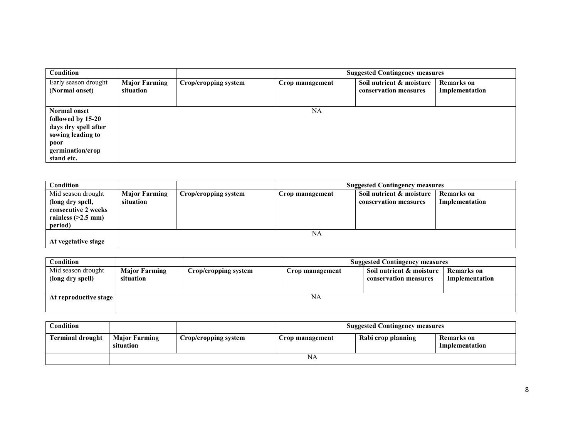| Condition                                                                                                                       |                                   |                      |                 | <b>Suggested Contingency measures</b>             |                                     |
|---------------------------------------------------------------------------------------------------------------------------------|-----------------------------------|----------------------|-----------------|---------------------------------------------------|-------------------------------------|
| Early season drought<br>(Normal onset)                                                                                          | <b>Major Farming</b><br>situation | Crop/cropping system | Crop management | Soil nutrient & moisture<br>conservation measures | <b>Remarks</b> on<br>Implementation |
| <b>Normal onset</b><br>followed by 15-20<br>days dry spell after<br>sowing leading to<br>poor<br>germination/crop<br>stand etc. |                                   |                      | NA              |                                                   |                                     |

| <b>Condition</b>                                                                                 |                                   |                      | <b>Suggested Contingency measures</b> |                                                   |                                     |  |
|--------------------------------------------------------------------------------------------------|-----------------------------------|----------------------|---------------------------------------|---------------------------------------------------|-------------------------------------|--|
| Mid season drought<br>(long dry spell,<br>consecutive 2 weeks<br>rainless $(>2.5$ mm)<br>period) | <b>Major Farming</b><br>situation | Crop/cropping system | Crop management                       | Soil nutrient & moisture<br>conservation measures | <b>Remarks</b> on<br>Implementation |  |
| At vegetative stage                                                                              |                                   |                      | NA                                    |                                                   |                                     |  |

| Condition                              | <b>Suggested Contingency measures</b>                     |  |                 |                                                   |                              |
|----------------------------------------|-----------------------------------------------------------|--|-----------------|---------------------------------------------------|------------------------------|
| Mid season drought<br>(long dry spell) | <b>Major Farming</b><br>Crop/cropping system<br>situation |  | Crop management | Soil nutrient & moisture<br>conservation measures | Remarks on<br>Implementation |
| At reproductive stage                  |                                                           |  | NA              |                                                   |                              |

| Condition               |                                   |                      | <b>Suggested Contingency measures</b> |                    |                                     |  |
|-------------------------|-----------------------------------|----------------------|---------------------------------------|--------------------|-------------------------------------|--|
| <b>Terminal drought</b> | <b>Major Farming</b><br>situation | Crop/cropping system | Crop management                       | Rabi crop planning | <b>Remarks</b> on<br>Implementation |  |
|                         | NA                                |                      |                                       |                    |                                     |  |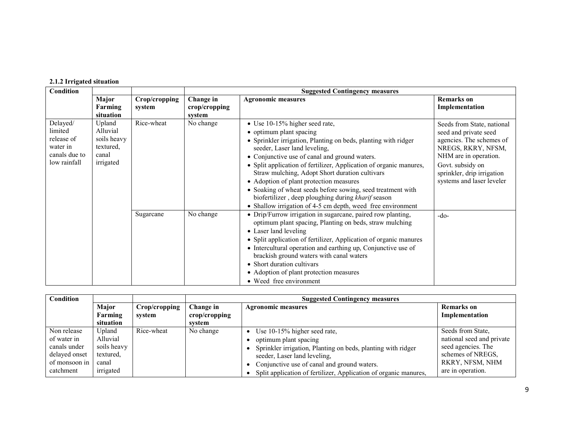# 2.1.2 Irrigated situation

| Condition                                                                      |                                                                      |                         | <b>Suggested Contingency measures</b> |                                                                                                                                                                                                                                                                                                                                                                                                                                                                                                                                                                     |                                                                                                                                                                                                               |  |  |
|--------------------------------------------------------------------------------|----------------------------------------------------------------------|-------------------------|---------------------------------------|---------------------------------------------------------------------------------------------------------------------------------------------------------------------------------------------------------------------------------------------------------------------------------------------------------------------------------------------------------------------------------------------------------------------------------------------------------------------------------------------------------------------------------------------------------------------|---------------------------------------------------------------------------------------------------------------------------------------------------------------------------------------------------------------|--|--|
|                                                                                | Major<br>Farming<br>situation                                        | Crop/cropping<br>system | Change in<br>crop/cropping<br>system  | <b>Agronomic measures</b>                                                                                                                                                                                                                                                                                                                                                                                                                                                                                                                                           | <b>Remarks</b> on<br>Implementation                                                                                                                                                                           |  |  |
| Delayed/<br>limited<br>release of<br>water in<br>canals due to<br>low rainfall | Upland<br>Alluvial<br>soils heavy<br>textured,<br>canal<br>irrigated | Rice-wheat              | No change                             | • Use 10-15% higher seed rate,<br>• optimum plant spacing<br>• Sprinkler irrigation, Planting on beds, planting with ridger<br>seeder, Laser land leveling,<br>• Conjunctive use of canal and ground waters.<br>• Split application of fertilizer, Application of organic manures,<br>Straw mulching, Adopt Short duration cultivars<br>• Adoption of plant protection measures<br>• Soaking of wheat seeds before sowing, seed treatment with<br>biofertilizer, deep ploughing during kharif season<br>• Shallow irrigation of 4-5 cm depth, weed free environment | Seeds from State, national<br>seed and private seed<br>agencies. The schemes of<br>NREGS, RKRY, NFSM,<br>NHM are in operation.<br>Govt. subsidy on<br>sprinkler, drip irrigation<br>systems and laser leveler |  |  |
|                                                                                |                                                                      | Sugarcane               | No change                             | • Drip/Furrow irrigation in sugarcane, paired row planting,<br>optimum plant spacing, Planting on beds, straw mulching<br>• Laser land leveling<br>• Split application of fertilizer, Application of organic manures<br>• Intercultural operation and earthing up, Conjunctive use of<br>brackish ground waters with canal waters<br>• Short duration cultivars<br>• Adoption of plant protection measures<br>• Weed free environment                                                                                                                               | $-do-$                                                                                                                                                                                                        |  |  |

| Condition     |             |               |               | <b>Suggested Contingency measures</b>                            |                           |  |  |  |
|---------------|-------------|---------------|---------------|------------------------------------------------------------------|---------------------------|--|--|--|
|               | Major       | Crop/cropping | Change in     | <b>Agronomic measures</b>                                        | <b>Remarks</b> on         |  |  |  |
|               | Farming     | system        | crop/cropping |                                                                  | Implementation            |  |  |  |
|               | situation   |               | system        |                                                                  |                           |  |  |  |
| Non release   | Upland      | Rice-wheat    | No change     | • Use $10-15%$ higher seed rate,                                 | Seeds from State.         |  |  |  |
| of water in   | Alluvial    |               |               | optimum plant spacing                                            | national seed and private |  |  |  |
| canals under  | soils heavy |               |               | Sprinkler irrigation, Planting on beds, planting with ridger     | seed agencies. The        |  |  |  |
| delayed onset | textured.   |               |               | seeder, Laser land leveling,                                     | schemes of NREGS,         |  |  |  |
| of monsoon in | canal       |               |               | Conjunctive use of canal and ground waters.                      | RKRY, NFSM, NHM           |  |  |  |
| catchment     | irrigated   |               |               | Split application of fertilizer, Application of organic manures, | are in operation.         |  |  |  |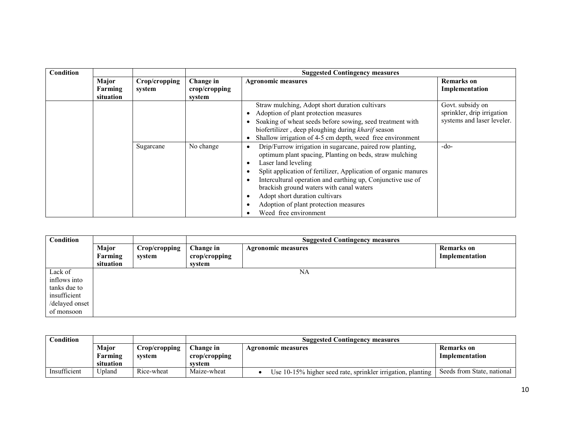| Condition |                               |                         |                                      | <b>Suggested Contingency measures</b>                                                                                                                                                                                                                                                                                                                                                                                                                     |                                                                              |
|-----------|-------------------------------|-------------------------|--------------------------------------|-----------------------------------------------------------------------------------------------------------------------------------------------------------------------------------------------------------------------------------------------------------------------------------------------------------------------------------------------------------------------------------------------------------------------------------------------------------|------------------------------------------------------------------------------|
|           | Major<br>Farming<br>situation | Crop/cropping<br>system | Change in<br>crop/cropping<br>system | <b>Agronomic measures</b>                                                                                                                                                                                                                                                                                                                                                                                                                                 | <b>Remarks</b> on<br>Implementation                                          |
|           |                               |                         |                                      | Straw mulching, Adopt short duration cultivars<br>Adoption of plant protection measures<br>Soaking of wheat seeds before sowing, seed treatment with<br>biofertilizer, deep ploughing during kharif season<br>Shallow irrigation of 4-5 cm depth, weed free environment                                                                                                                                                                                   | Govt. subsidy on<br>sprinkler, drip irrigation<br>systems and laser leveler. |
|           |                               | Sugarcane               | No change                            | Drip/Furrow irrigation in sugarcane, paired row planting,<br>$\bullet$<br>optimum plant spacing, Planting on beds, straw mulching<br>Laser land leveling<br>٠<br>Split application of fertilizer, Application of organic manures<br>٠<br>Intercultural operation and earthing up, Conjunctive use of<br>٠<br>brackish ground waters with canal waters<br>Adopt short duration cultivars<br>Adoption of plant protection measures<br>Weed free environment | $-do-$                                                                       |

| Condition                                                                               |                               |                         |                                      | <b>Suggested Contingency measures</b> |                                     |  |
|-----------------------------------------------------------------------------------------|-------------------------------|-------------------------|--------------------------------------|---------------------------------------|-------------------------------------|--|
|                                                                                         | Major<br>Farming<br>situation | Crop/cropping<br>system | Change in<br>crop/cropping<br>system | <b>Agronomic measures</b>             | <b>Remarks</b> on<br>Implementation |  |
| Lack of<br>inflows into<br>tanks due to<br>insufficient<br>/delayed onset<br>of monsoon |                               |                         |                                      | NA                                    |                                     |  |

| Condition    |           |               |               | <b>Suggested Contingency measures</b>                       |                            |  |
|--------------|-----------|---------------|---------------|-------------------------------------------------------------|----------------------------|--|
|              | Major     | Crop/cropping | Change in     | <b>Agronomic measures</b>                                   |                            |  |
|              | Farming   | system        | crop/cropping |                                                             | Implementation             |  |
|              | situation |               | svstem        |                                                             |                            |  |
| Insufficient | Jpland    | Rice-wheat    | Maize-wheat   | Use 10-15% higher seed rate, sprinkler irrigation, planting | Seeds from State, national |  |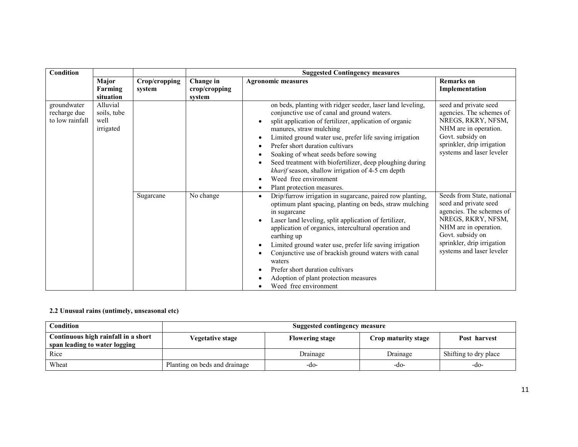| <b>Condition</b>                               |                                              |                         | <b>Suggested Contingency measures</b> |                                                                                                                                                                                                                                                                                                                                                                                                                                                                                                               |                                                                                                                                                                                                               |
|------------------------------------------------|----------------------------------------------|-------------------------|---------------------------------------|---------------------------------------------------------------------------------------------------------------------------------------------------------------------------------------------------------------------------------------------------------------------------------------------------------------------------------------------------------------------------------------------------------------------------------------------------------------------------------------------------------------|---------------------------------------------------------------------------------------------------------------------------------------------------------------------------------------------------------------|
|                                                | Major<br><b>Farming</b><br>situation         | Crop/cropping<br>system | Change in<br>crop/cropping<br>system  | <b>Agronomic measures</b>                                                                                                                                                                                                                                                                                                                                                                                                                                                                                     | <b>Remarks</b> on<br>Implementation                                                                                                                                                                           |
| groundwater<br>recharge due<br>to low rainfall | Alluvial<br>soils, tube<br>well<br>irrigated |                         |                                       | on beds, planting with ridger seeder, laser land leveling,<br>conjunctive use of canal and ground waters.<br>split application of fertilizer, application of organic<br>manures, straw mulching<br>Limited ground water use, prefer life saving irrigation<br>Prefer short duration cultivars<br>Soaking of wheat seeds before sowing<br>Seed treatment with biofertilizer, deep ploughing during<br>kharif season, shallow irrigation of 4-5 cm depth<br>Weed free environment<br>Plant protection measures. | seed and private seed<br>agencies. The schemes of<br>NREGS, RKRY, NFSM,<br>NHM are in operation.<br>Govt. subsidy on<br>sprinkler, drip irrigation<br>systems and laser leveler                               |
|                                                |                                              | Sugarcane               | No change                             | Drip/furrow irrigation in sugarcane, paired row planting,<br>optimum plant spacing, planting on beds, straw mulching<br>in sugarcane<br>Laser land leveling, split application of fertilizer,<br>application of organics, intercultural operation and<br>earthing up<br>Limited ground water use, prefer life saving irrigation<br>Conjunctive use of brackish ground waters with canal<br>waters<br>Prefer short duration cultivars<br>Adoption of plant protection measures<br>Weed free environment        | Seeds from State, national<br>seed and private seed<br>agencies. The schemes of<br>NREGS, RKRY, NFSM,<br>NHM are in operation.<br>Govt. subsidy on<br>sprinkler, drip irrigation<br>systems and laser leveler |

## 2.2 Unusual rains (untimely, unseasonal etc)

| Condition                                                            | <b>Suggested contingency measure</b> |                        |                     |                       |  |  |
|----------------------------------------------------------------------|--------------------------------------|------------------------|---------------------|-----------------------|--|--|
| Continuous high rainfall in a short<br>span leading to water logging | Vegetative stage                     | <b>Flowering stage</b> | Crop maturity stage | Post harvest          |  |  |
| Rice                                                                 |                                      | Drainage               | Drainage            | Shifting to dry place |  |  |
| Wheat                                                                | Planting on beds and drainage        | -do-                   | -do-                | -do-                  |  |  |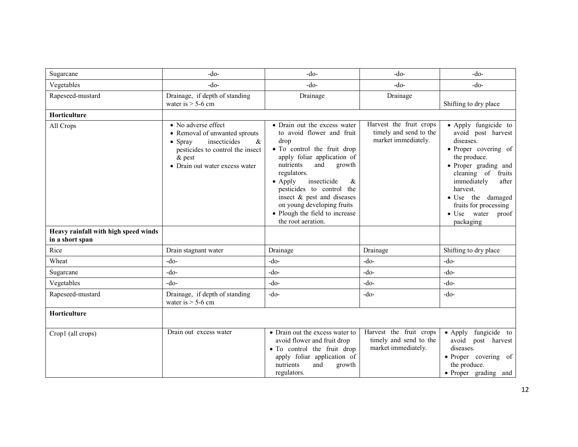| Sugarcane                                               | $-do-$                                                                                                                                                                                 | $-do-$                                                                                                                                                                                                                                                                                                                                                               | $-do-$                                                                   | $-do-$                                                                                                                                                                                                                                                                             |
|---------------------------------------------------------|----------------------------------------------------------------------------------------------------------------------------------------------------------------------------------------|----------------------------------------------------------------------------------------------------------------------------------------------------------------------------------------------------------------------------------------------------------------------------------------------------------------------------------------------------------------------|--------------------------------------------------------------------------|------------------------------------------------------------------------------------------------------------------------------------------------------------------------------------------------------------------------------------------------------------------------------------|
| Vegetables                                              | $-do-$                                                                                                                                                                                 | $-do-$                                                                                                                                                                                                                                                                                                                                                               | $-do-$                                                                   | $-do-$                                                                                                                                                                                                                                                                             |
| Rapeseed-mustard                                        | Drainage, if depth of standing<br>water is $>$ 5-6 cm                                                                                                                                  | Drainage                                                                                                                                                                                                                                                                                                                                                             | Drainage                                                                 | Shifting to dry place                                                                                                                                                                                                                                                              |
| <b>Horticulture</b>                                     |                                                                                                                                                                                        |                                                                                                                                                                                                                                                                                                                                                                      |                                                                          |                                                                                                                                                                                                                                                                                    |
| All Crops                                               | • No adverse effect<br>• Removal of unwanted sprouts<br>insecticides<br>$\alpha$<br>$\bullet$ Spray<br>pesticides to control the insect<br>$\&$ pest<br>• Drain out water excess water | • Drain out the excess water<br>to avoid flower and fruit<br>drop<br>• To control the fruit drop<br>apply foliar application of<br>nutrients<br>and<br>growth<br>regulators.<br>$\bullet$ Apply<br>insecticide<br>&<br>pesticides to control the<br>insect & pest and diseases<br>on young developing fruits<br>• Plough the field to increase<br>the root aeration. | Harvest the fruit crops<br>timely and send to the<br>market immediately. | • Apply fungicide to<br>avoid post harvest<br>diseases.<br>• Proper covering of<br>the produce.<br>• Proper grading and<br>cleaning of<br>fruits<br>immediately<br>after<br>harvest.<br>• Use the damaged<br>fruits for processing<br>water<br>$\bullet$ Use<br>proof<br>packaging |
| Heavy rainfall with high speed winds<br>in a short span |                                                                                                                                                                                        |                                                                                                                                                                                                                                                                                                                                                                      |                                                                          |                                                                                                                                                                                                                                                                                    |
| Rice                                                    | Drain stagnant water                                                                                                                                                                   | Drainage                                                                                                                                                                                                                                                                                                                                                             | Drainage                                                                 | Shifting to dry place                                                                                                                                                                                                                                                              |
| Wheat                                                   | $-do-$                                                                                                                                                                                 | $-do-$                                                                                                                                                                                                                                                                                                                                                               | $-do-$                                                                   | $-do-$                                                                                                                                                                                                                                                                             |
| Sugarcane                                               | $-do-$                                                                                                                                                                                 | $-do-$                                                                                                                                                                                                                                                                                                                                                               | $-do-$                                                                   | $-do-$                                                                                                                                                                                                                                                                             |
| Vegetables                                              | $-do-$                                                                                                                                                                                 | $-do-$                                                                                                                                                                                                                                                                                                                                                               | $-do-$                                                                   | $-do-$                                                                                                                                                                                                                                                                             |
| Rapeseed-mustard                                        | Drainage, if depth of standing<br>water is $> 5-6$ cm                                                                                                                                  | $-do-$                                                                                                                                                                                                                                                                                                                                                               | $-do-$                                                                   | $-do-$                                                                                                                                                                                                                                                                             |
| Horticulture                                            |                                                                                                                                                                                        |                                                                                                                                                                                                                                                                                                                                                                      |                                                                          |                                                                                                                                                                                                                                                                                    |
| Crop1 (all crops)                                       | Drain out excess water                                                                                                                                                                 | • Drain out the excess water to<br>avoid flower and fruit drop<br>• To control the fruit drop<br>apply foliar application of<br>nutrients<br>and<br>growth<br>regulators.                                                                                                                                                                                            | Harvest the fruit crops<br>timely and send to the<br>market immediately. | • Apply fungicide to<br>avoid post harvest<br>diseases.<br>• Proper covering of<br>the produce.<br>· Proper grading and                                                                                                                                                            |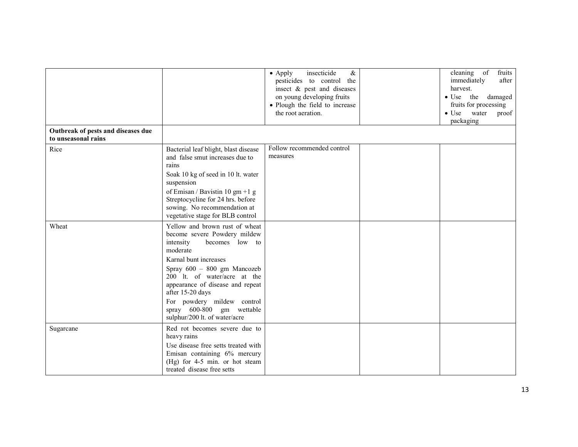| Outbreak of pests and diseases due |                                                                                                                                                                                                                                                                                                                                                       | insecticide<br>$\&$<br>$\bullet$ Apply<br>pesticides to control the<br>insect & pest and diseases<br>on young developing fruits<br>• Plough the field to increase<br>the root aeration. | fruits<br>cleaning<br>of<br>immediately<br>after<br>harvest.<br>· Use the damaged<br>fruits for processing<br>$\bullet$ Use<br>water<br>proof<br>packaging |
|------------------------------------|-------------------------------------------------------------------------------------------------------------------------------------------------------------------------------------------------------------------------------------------------------------------------------------------------------------------------------------------------------|-----------------------------------------------------------------------------------------------------------------------------------------------------------------------------------------|------------------------------------------------------------------------------------------------------------------------------------------------------------|
| to unseasonal rains                |                                                                                                                                                                                                                                                                                                                                                       |                                                                                                                                                                                         |                                                                                                                                                            |
| Rice                               | Bacterial leaf blight, blast disease<br>and false smut increases due to<br>rains<br>Soak 10 kg of seed in 10 lt. water<br>suspension<br>of Emisan / Bavistin 10 gm +1 g<br>Streptocycline for 24 hrs. before<br>sowing. No recommendation at<br>vegetative stage for BLB control                                                                      | Follow recommended control<br>measures                                                                                                                                                  |                                                                                                                                                            |
| Wheat                              | Yellow and brown rust of wheat<br>become severe Powdery mildew<br>intensity<br>becomes low to<br>moderate<br>Karnal bunt increases<br>Spray 600 - 800 gm Mancozeb<br>200 lt. of water/acre at the<br>appearance of disease and repeat<br>after 15-20 days<br>For powdery mildew control<br>spray 600-800 gm wettable<br>sulphur/200 lt. of water/acre |                                                                                                                                                                                         |                                                                                                                                                            |
| Sugarcane                          | Red rot becomes severe due to<br>heavy rains<br>Use disease free setts treated with<br>Emisan containing 6% mercury<br>(Hg) for 4-5 min. or hot steam<br>treated disease free setts                                                                                                                                                                   |                                                                                                                                                                                         |                                                                                                                                                            |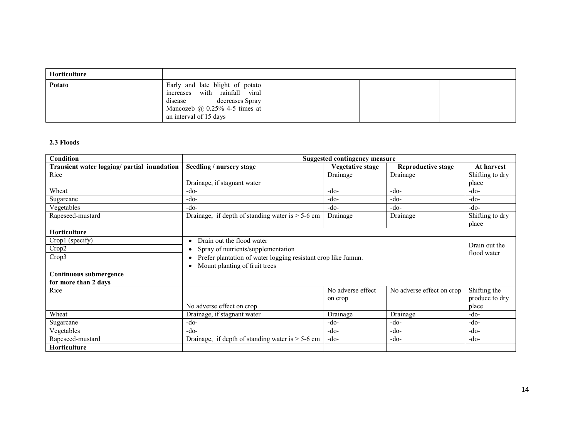| Horticulture |                                                                                                                                                          |
|--------------|----------------------------------------------------------------------------------------------------------------------------------------------------------|
| Potato       | Early and late blight of potato<br>increases with rainfall viral<br>disease decreases Spray<br>Mancozeb $@$ 0.25% 4-5 times at<br>an interval of 15 days |

# 2.3 Floods

| <b>Condition</b>                               | Suggested contingency measure                                                                                                                                                                                                    |                              |                           |                                         |  |  |
|------------------------------------------------|----------------------------------------------------------------------------------------------------------------------------------------------------------------------------------------------------------------------------------|------------------------------|---------------------------|-----------------------------------------|--|--|
| Transient water logging/ partial inundation    | Seedling / nursery stage                                                                                                                                                                                                         | Vegetative stage             | Reproductive stage        | At harvest                              |  |  |
| Rice                                           |                                                                                                                                                                                                                                  | Drainage                     | Drainage                  | Shifting to dry                         |  |  |
|                                                | Drainage, if stagnant water                                                                                                                                                                                                      |                              |                           | place                                   |  |  |
| Wheat                                          | -do-                                                                                                                                                                                                                             | $-do-$                       | $-do-$                    | -do-                                    |  |  |
| Sugarcane                                      | $-do-$                                                                                                                                                                                                                           | $-do-$                       | $-do-$                    | -do-                                    |  |  |
| Vegetables                                     | -do-                                                                                                                                                                                                                             | $-do-$                       | $-do-$                    | $-do-$                                  |  |  |
| Rapeseed-mustard                               | Drainage, if depth of standing water is $> 5-6$ cm                                                                                                                                                                               | Drainage                     | Drainage                  | Shifting to dry<br>place                |  |  |
| Horticulture                                   |                                                                                                                                                                                                                                  |                              |                           |                                         |  |  |
| Crop1 (specify)<br>Crop2<br>Crop3              | Drain out the flood water<br>$\bullet$<br>Drain out the<br>Spray of nutrients/supplementation<br>flood water<br>Prefer plantation of water logging resistant crop like Jamun.<br>٠<br>Mount planting of fruit trees<br>$\bullet$ |                              |                           |                                         |  |  |
| Continuous submergence<br>for more than 2 days |                                                                                                                                                                                                                                  |                              |                           |                                         |  |  |
| Rice                                           | No adverse effect on crop                                                                                                                                                                                                        | No adverse effect<br>on crop | No adverse effect on crop | Shifting the<br>produce to dry<br>place |  |  |
| Wheat                                          | Drainage, if stagnant water                                                                                                                                                                                                      | Drainage                     | Drainage                  | $-do-$                                  |  |  |
| Sugarcane                                      | -do-                                                                                                                                                                                                                             | $-do-$                       | $-do-$                    | $-do-$                                  |  |  |
| Vegetables                                     | -do-                                                                                                                                                                                                                             | $-do-$                       | $-do-$                    | -do-                                    |  |  |
| Rapeseed-mustard                               | Drainage, if depth of standing water is $> 5-6$ cm                                                                                                                                                                               | -do-                         | $-do-$                    | $-do-$                                  |  |  |
| Horticulture                                   |                                                                                                                                                                                                                                  |                              |                           |                                         |  |  |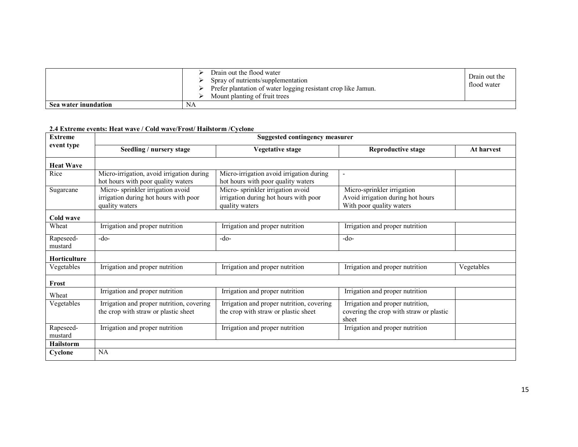|                      | Drain out the flood water<br>Spray of nutrients/supplementation<br>Prefer plantation of water logging resistant crop like Jamun.<br>Mount planting of fruit trees | Drain out the<br>flood water |
|----------------------|-------------------------------------------------------------------------------------------------------------------------------------------------------------------|------------------------------|
| Sea water inundation | NA                                                                                                                                                                |                              |

## 2.4 Extreme events: Heat wave / Cold wave/Frost/ Hailstorm /Cyclone

| <b>Extreme</b>       | <b>Suggested contingency measurer</b>                                                       |                                                                                             |                                                                                             |            |  |  |  |
|----------------------|---------------------------------------------------------------------------------------------|---------------------------------------------------------------------------------------------|---------------------------------------------------------------------------------------------|------------|--|--|--|
| event type           | Seedling / nursery stage                                                                    | <b>Vegetative stage</b>                                                                     | <b>Reproductive stage</b>                                                                   | At harvest |  |  |  |
| <b>Heat Wave</b>     |                                                                                             |                                                                                             |                                                                                             |            |  |  |  |
| Rice                 | Micro-irrigation, avoid irrigation during<br>hot hours with poor quality waters             | Micro-irrigation avoid irrigation during<br>hot hours with poor quality waters              | $\overline{\phantom{a}}$                                                                    |            |  |  |  |
| Sugarcane            | Micro-sprinkler irrigation avoid<br>irrigation during hot hours with poor<br>quality waters | Micro-sprinkler irrigation avoid<br>irrigation during hot hours with poor<br>quality waters | Micro-sprinkler irrigation<br>Avoid irrigation during hot hours<br>With poor quality waters |            |  |  |  |
| Cold wave            |                                                                                             |                                                                                             |                                                                                             |            |  |  |  |
| Wheat                | Irrigation and proper nutrition                                                             | Irrigation and proper nutrition                                                             | Irrigation and proper nutrition                                                             |            |  |  |  |
| Rapeseed-<br>mustard | $-do-$                                                                                      | $-do-$                                                                                      | $-do-$                                                                                      |            |  |  |  |
| <b>Horticulture</b>  |                                                                                             |                                                                                             |                                                                                             |            |  |  |  |
| Vegetables           | Irrigation and proper nutrition                                                             | Irrigation and proper nutrition                                                             | Irrigation and proper nutrition                                                             | Vegetables |  |  |  |
| Frost                |                                                                                             |                                                                                             |                                                                                             |            |  |  |  |
| Wheat                | Irrigation and proper nutrition                                                             | Irrigation and proper nutrition                                                             | Irrigation and proper nutrition                                                             |            |  |  |  |
| Vegetables           | Irrigation and proper nutrition, covering<br>the crop with straw or plastic sheet           | Irrigation and proper nutrition, covering<br>the crop with straw or plastic sheet           | Irrigation and proper nutrition,<br>covering the crop with straw or plastic<br>sheet        |            |  |  |  |
| Rapeseed-<br>mustard | Irrigation and proper nutrition                                                             | Irrigation and proper nutrition                                                             | Irrigation and proper nutrition                                                             |            |  |  |  |
| <b>Hailstorm</b>     |                                                                                             |                                                                                             |                                                                                             |            |  |  |  |
| Cyclone              | NA                                                                                          |                                                                                             |                                                                                             |            |  |  |  |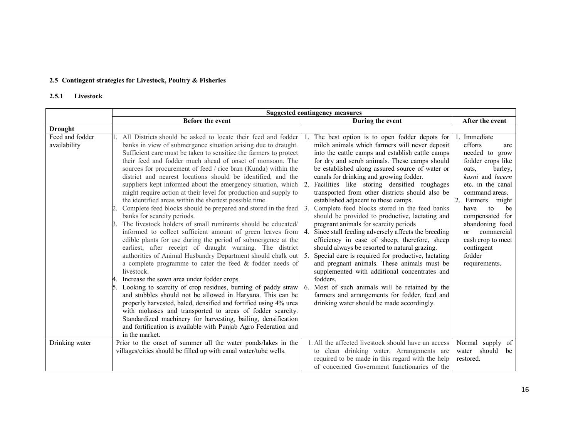# 2.5 Contingent strategies for Livestock, Poultry & Fisheries

# 2.5.1 Livestock

|                                 | <b>Suggested contingency measures</b>                                                                                                                                                                                                                                                                                                                                                                                                                                                                                                                                                                                                                                                                                                                                                                                                                                                                                                                                                                                                                                                                                                                                                                                                                                                                                                                                                                                                                                                                                                                                                                                                         |                                                                                                                                                                                                                                                                                                                                                                                                                                                                                                                                                                                                                                                                                                                                                                                                                                                                                                                                                                                                                                                                                                                                                                   |                                                                                                                                                                                                                                                                                                                            |  |  |
|---------------------------------|-----------------------------------------------------------------------------------------------------------------------------------------------------------------------------------------------------------------------------------------------------------------------------------------------------------------------------------------------------------------------------------------------------------------------------------------------------------------------------------------------------------------------------------------------------------------------------------------------------------------------------------------------------------------------------------------------------------------------------------------------------------------------------------------------------------------------------------------------------------------------------------------------------------------------------------------------------------------------------------------------------------------------------------------------------------------------------------------------------------------------------------------------------------------------------------------------------------------------------------------------------------------------------------------------------------------------------------------------------------------------------------------------------------------------------------------------------------------------------------------------------------------------------------------------------------------------------------------------------------------------------------------------|-------------------------------------------------------------------------------------------------------------------------------------------------------------------------------------------------------------------------------------------------------------------------------------------------------------------------------------------------------------------------------------------------------------------------------------------------------------------------------------------------------------------------------------------------------------------------------------------------------------------------------------------------------------------------------------------------------------------------------------------------------------------------------------------------------------------------------------------------------------------------------------------------------------------------------------------------------------------------------------------------------------------------------------------------------------------------------------------------------------------------------------------------------------------|----------------------------------------------------------------------------------------------------------------------------------------------------------------------------------------------------------------------------------------------------------------------------------------------------------------------------|--|--|
|                                 | <b>Before the event</b>                                                                                                                                                                                                                                                                                                                                                                                                                                                                                                                                                                                                                                                                                                                                                                                                                                                                                                                                                                                                                                                                                                                                                                                                                                                                                                                                                                                                                                                                                                                                                                                                                       | During the event                                                                                                                                                                                                                                                                                                                                                                                                                                                                                                                                                                                                                                                                                                                                                                                                                                                                                                                                                                                                                                                                                                                                                  | After the event                                                                                                                                                                                                                                                                                                            |  |  |
| <b>Drought</b>                  |                                                                                                                                                                                                                                                                                                                                                                                                                                                                                                                                                                                                                                                                                                                                                                                                                                                                                                                                                                                                                                                                                                                                                                                                                                                                                                                                                                                                                                                                                                                                                                                                                                               |                                                                                                                                                                                                                                                                                                                                                                                                                                                                                                                                                                                                                                                                                                                                                                                                                                                                                                                                                                                                                                                                                                                                                                   |                                                                                                                                                                                                                                                                                                                            |  |  |
| Feed and fodder<br>availability | All Districts should be asked to locate their feed and fodder<br>banks in view of submergence situation arising due to draught.<br>Sufficient care must be taken to sensitize the farmers to protect<br>their feed and fodder much ahead of onset of monsoon. The<br>sources for procurement of feed / rice bran (Kunda) within the<br>district and nearest locations should be identified, and the<br>suppliers kept informed about the emergency situation, which<br>might require action at their level for production and supply to<br>the identified areas within the shortest possible time.<br>Complete feed blocks should be prepared and stored in the feed<br>banks for scarcity periods.<br>The livestock holders of small ruminants should be educated/<br>informed to collect sufficient amount of green leaves from<br>edible plants for use during the period of submergence at the<br>earliest, after receipt of draught warning. The district<br>authorities of Animal Husbandry Department should chalk out<br>a complete programme to cater the feed $\&$ fodder needs of<br>livestock.<br>Increase the sown area under fodder crops<br>Looking to scarcity of crop residues, burning of paddy straw<br>and stubbles should not be allowed in Haryana. This can be<br>properly harvested, baled, densified and fortified using 4% urea<br>with molasses and transported to areas of fodder scarcity.<br>Standardized machinery for harvesting, bailing, densification<br>and fortification is available with Punjab Agro Federation and<br>in the market.<br>Prior to the onset of summer all the water ponds/lakes in the | The best option is to open fodder depots for<br>milch animals which farmers will never deposit<br>into the cattle camps and establish cattle camps<br>for dry and scrub animals. These camps should<br>be established along assured source of water or<br>canals for drinking and growing fodder.<br>Facilities like storing densified roughages<br><sup>2</sup><br>transported from other districts should also be<br>established adjacent to these camps.<br>Complete feed blocks stored in the feed banks<br>3.<br>should be provided to productive, lactating and<br>pregnant animals for scarcity periods<br>Since stall feeding adversely affects the breeding<br>4.<br>efficiency in case of sheep, therefore, sheep<br>should always be resorted to natural grazing.<br>Special care is required for productive, lactating<br>5.<br>and pregnant animals. These animals must be<br>supplemented with additional concentrates and<br>fodders.<br>Most of such animals will be retained by the<br>-6.<br>farmers and arrangements for fodder, feed and<br>drinking water should be made accordingly.<br>1. All the affected livestock should have an access | Immediate<br>efforts<br>are<br>needed to grow<br>fodder crops like<br>oats.<br>barley,<br>kasni and lucern<br>etc. in the canal<br>command areas.<br>2.<br>Farmers might<br>have<br>to<br>be<br>compensated for<br>abandoning food<br>commercial<br>$\alpha$<br>cash crop to meet<br>contingent<br>fodder<br>requirements. |  |  |
| Drinking water                  | villages/cities should be filled up with canal water/tube wells.                                                                                                                                                                                                                                                                                                                                                                                                                                                                                                                                                                                                                                                                                                                                                                                                                                                                                                                                                                                                                                                                                                                                                                                                                                                                                                                                                                                                                                                                                                                                                                              | to clean drinking water. Arrangements are<br>required to be made in this regard with the help<br>of concerned Government functionaries of the                                                                                                                                                                                                                                                                                                                                                                                                                                                                                                                                                                                                                                                                                                                                                                                                                                                                                                                                                                                                                     | Normal supply of<br>water should<br>be<br>restored.                                                                                                                                                                                                                                                                        |  |  |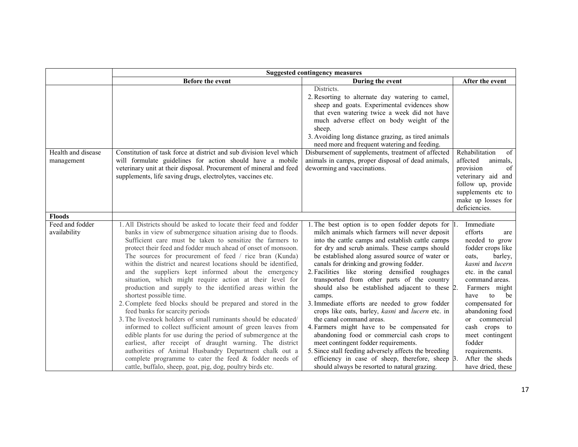|                                  | <b>Suggested contingency measures</b>                                                                                                                                                                                                                                                                                                                                                                                                                                                                                                                                                                                                                                                                                                                                                                                                                                                                                                                                                                                                                                                                                                                      |                                                                                                                                                                                                                                                                                                                                                                                                                                                                                                                                                                                                                                                                                                                                                                                                                                                                                                                   |                                                                                                                                                                                                                                                                                                                                                      |  |  |  |
|----------------------------------|------------------------------------------------------------------------------------------------------------------------------------------------------------------------------------------------------------------------------------------------------------------------------------------------------------------------------------------------------------------------------------------------------------------------------------------------------------------------------------------------------------------------------------------------------------------------------------------------------------------------------------------------------------------------------------------------------------------------------------------------------------------------------------------------------------------------------------------------------------------------------------------------------------------------------------------------------------------------------------------------------------------------------------------------------------------------------------------------------------------------------------------------------------|-------------------------------------------------------------------------------------------------------------------------------------------------------------------------------------------------------------------------------------------------------------------------------------------------------------------------------------------------------------------------------------------------------------------------------------------------------------------------------------------------------------------------------------------------------------------------------------------------------------------------------------------------------------------------------------------------------------------------------------------------------------------------------------------------------------------------------------------------------------------------------------------------------------------|------------------------------------------------------------------------------------------------------------------------------------------------------------------------------------------------------------------------------------------------------------------------------------------------------------------------------------------------------|--|--|--|
|                                  | Before the event                                                                                                                                                                                                                                                                                                                                                                                                                                                                                                                                                                                                                                                                                                                                                                                                                                                                                                                                                                                                                                                                                                                                           | During the event                                                                                                                                                                                                                                                                                                                                                                                                                                                                                                                                                                                                                                                                                                                                                                                                                                                                                                  | After the event                                                                                                                                                                                                                                                                                                                                      |  |  |  |
|                                  |                                                                                                                                                                                                                                                                                                                                                                                                                                                                                                                                                                                                                                                                                                                                                                                                                                                                                                                                                                                                                                                                                                                                                            | Districts.<br>2. Resorting to alternate day watering to camel,<br>sheep and goats. Experimental evidences show<br>that even watering twice a week did not have<br>much adverse effect on body weight of the<br>sheep.<br>3. Avoiding long distance grazing, as tired animals<br>need more and frequent watering and feeding.                                                                                                                                                                                                                                                                                                                                                                                                                                                                                                                                                                                      |                                                                                                                                                                                                                                                                                                                                                      |  |  |  |
| Health and disease<br>management | Constitution of task force at district and sub division level which<br>will formulate guidelines for action should have a mobile<br>veterinary unit at their disposal. Procurement of mineral and feed<br>supplements, life saving drugs, electrolytes, vaccines etc.                                                                                                                                                                                                                                                                                                                                                                                                                                                                                                                                                                                                                                                                                                                                                                                                                                                                                      | Disbursement of supplements, treatment of affected<br>animals in camps, proper disposal of dead animals,<br>deworming and vaccinations.                                                                                                                                                                                                                                                                                                                                                                                                                                                                                                                                                                                                                                                                                                                                                                           | Rehabilitation<br>of<br>affected<br>animals.<br>provision<br>of<br>veterinary aid and<br>follow up, provide<br>supplements etc to<br>make up losses for<br>deficiencies.                                                                                                                                                                             |  |  |  |
| Floods                           |                                                                                                                                                                                                                                                                                                                                                                                                                                                                                                                                                                                                                                                                                                                                                                                                                                                                                                                                                                                                                                                                                                                                                            |                                                                                                                                                                                                                                                                                                                                                                                                                                                                                                                                                                                                                                                                                                                                                                                                                                                                                                                   |                                                                                                                                                                                                                                                                                                                                                      |  |  |  |
| Feed and fodder<br>availability  | 1. All Districts should be asked to locate their feed and fodder<br>banks in view of submergence situation arising due to floods.<br>Sufficient care must be taken to sensitize the farmers to<br>protect their feed and fodder much ahead of onset of monsoon.<br>The sources for procurement of feed / rice bran (Kunda)<br>within the district and nearest locations should be identified,<br>and the suppliers kept informed about the emergency<br>situation, which might require action at their level for<br>production and supply to the identified areas within the<br>shortest possible time.<br>2. Complete feed blocks should be prepared and stored in the<br>feed banks for scarcity periods<br>3. The livestock holders of small ruminants should be educated/<br>informed to collect sufficient amount of green leaves from<br>edible plants for use during the period of submergence at the<br>earliest, after receipt of draught warning. The district<br>authorities of Animal Husbandry Department chalk out a<br>complete programme to cater the feed & fodder needs of<br>cattle, buffalo, sheep, goat, pig, dog, poultry birds etc. | 1. The best option is to open fodder depots for $ 1 $ .<br>milch animals which farmers will never deposit<br>into the cattle camps and establish cattle camps<br>for dry and scrub animals. These camps should<br>be established along assured source of water or<br>canals for drinking and growing fodder.<br>2. Facilities like storing densified roughages<br>transported from other parts of the country<br>should also be established adjacent to these 2.<br>camps.<br>3. Immediate efforts are needed to grow fodder<br>crops like oats, barley, kasni and lucern etc. in<br>the canal command areas.<br>4. Farmers might have to be compensated for<br>abandoning food or commercial cash crops to<br>meet contingent fodder requirements.<br>5. Since stall feeding adversely affects the breeding<br>efficiency in case of sheep, therefore, sheep 3.<br>should always be resorted to natural grazing. | Immediate<br>efforts<br>are<br>needed to grow<br>fodder crops like<br>oats.<br>barley,<br>kasni and lucern<br>etc. in the canal<br>command areas.<br>Farmers might<br>have<br>to<br>be<br>compensated for<br>abandoning food<br>or commercial<br>cash crops to<br>meet contingent<br>fodder<br>requirements.<br>After the sheds<br>have dried, these |  |  |  |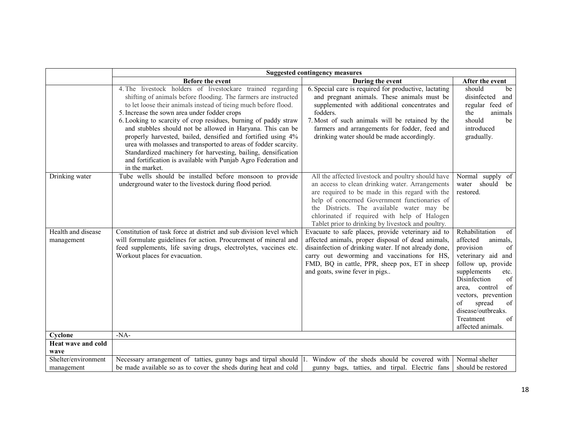|                                           | <b>Suggested contingency measures</b>                                                                                                                                                                                                                                                                                                                                                                                                                                                                                                                                                                                                                                     |                                                                                                                                                                                                                                                                                                                                                              |                                                                                                                                                                                                                                                                                                       |
|-------------------------------------------|---------------------------------------------------------------------------------------------------------------------------------------------------------------------------------------------------------------------------------------------------------------------------------------------------------------------------------------------------------------------------------------------------------------------------------------------------------------------------------------------------------------------------------------------------------------------------------------------------------------------------------------------------------------------------|--------------------------------------------------------------------------------------------------------------------------------------------------------------------------------------------------------------------------------------------------------------------------------------------------------------------------------------------------------------|-------------------------------------------------------------------------------------------------------------------------------------------------------------------------------------------------------------------------------------------------------------------------------------------------------|
|                                           | Before the event                                                                                                                                                                                                                                                                                                                                                                                                                                                                                                                                                                                                                                                          | During the event                                                                                                                                                                                                                                                                                                                                             | After the event                                                                                                                                                                                                                                                                                       |
|                                           | 4. The livestock holders of livestockare trained regarding<br>shifting of animals before flooding. The farmers are instructed<br>to let loose their animals instead of tieing much before flood.<br>5. Increase the sown area under fodder crops<br>6. Looking to scarcity of crop residues, burning of paddy straw<br>and stubbles should not be allowed in Haryana. This can be<br>properly harvested, bailed, densified and fortified using 4%<br>urea with molasses and transported to areas of fodder scarcity.<br>Standardized machinery for harvesting, bailing, densification<br>and fortification is available with Punjab Agro Federation and<br>in the market. | 6. Special care is required for productive, lactating<br>and pregnant animals. These animals must be<br>supplemented with additional concentrates and<br>fodders.<br>7. Most of such animals will be retained by the<br>farmers and arrangements for fodder, feed and<br>drinking water should be made accordingly.                                          | should<br>be<br>disinfected<br>and<br>regular feed of<br>the<br>animals<br>should<br>be<br>introduced<br>gradually.                                                                                                                                                                                   |
| Drinking water                            | Tube wells should be installed before monsoon to provide<br>underground water to the livestock during flood period.                                                                                                                                                                                                                                                                                                                                                                                                                                                                                                                                                       | All the affected livestock and poultry should have<br>an access to clean drinking water. Arrangements<br>are required to be made in this regard with the<br>help of concerned Government functionaries of<br>the Districts. The available water may be<br>chlorinated if required with help of Halogen<br>Tablet prior to drinking by livestock and poultry. | Normal supply of<br>water<br>should be<br>restored.                                                                                                                                                                                                                                                   |
| Health and disease<br>management          | Constitution of task force at district and sub division level which<br>will formulate guidelines for action. Procurement of mineral and<br>feed supplements, life saving drugs, electrolytes, vaccines etc.<br>Workout places for evacuation.                                                                                                                                                                                                                                                                                                                                                                                                                             | Evacuate to safe places, provide veterinary aid to<br>affected animals, proper disposal of dead animals,<br>disainfection of drinking water. If not already done,<br>carry out deworming and vaccinations for HS,<br>FMD, BQ in cattle, PPR, sheep pox, ET in sheep<br>and goats, swine fever in pigs                                                        | Rehabilitation<br>of<br>affected<br>animals,<br>provision<br>$\sigma$<br>veterinary aid and<br>follow up, provide<br>supplements<br>etc.<br>Disinfection<br>of<br>of<br>control<br>area.<br>vectors, prevention<br>spread<br>of<br>of<br>disease/outbreaks.<br>Treatment<br>of  <br>affected animals. |
| Cyclone                                   | $-NA-$                                                                                                                                                                                                                                                                                                                                                                                                                                                                                                                                                                                                                                                                    |                                                                                                                                                                                                                                                                                                                                                              |                                                                                                                                                                                                                                                                                                       |
| Heat wave and cold                        |                                                                                                                                                                                                                                                                                                                                                                                                                                                                                                                                                                                                                                                                           |                                                                                                                                                                                                                                                                                                                                                              |                                                                                                                                                                                                                                                                                                       |
| wave<br>Shelter/environment<br>management | Necessary arrangement of tatties, gunny bags and tirpal should 1.<br>be made available so as to cover the sheds during heat and cold                                                                                                                                                                                                                                                                                                                                                                                                                                                                                                                                      | Window of the sheds should be covered with<br>gunny bags, tatties, and tirpal. Electric fans                                                                                                                                                                                                                                                                 | Normal shelter<br>should be restored                                                                                                                                                                                                                                                                  |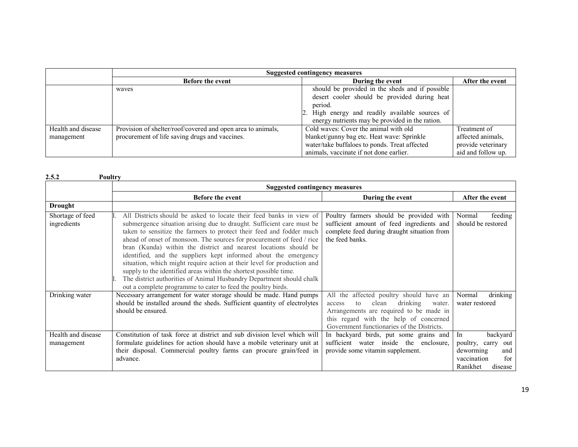|                    | <b>Suggested contingency measures</b>                       |                                                                                                                                                               |                    |
|--------------------|-------------------------------------------------------------|---------------------------------------------------------------------------------------------------------------------------------------------------------------|--------------------|
|                    | <b>Before the event</b>                                     | During the event                                                                                                                                              | After the event    |
|                    | waves                                                       | should be provided in the sheds and if possible<br>desert cooler should be provided during heat<br>period.<br>2. High energy and readily available sources of |                    |
|                    |                                                             | energy nutrients may be provided in the ration.                                                                                                               |                    |
| Health and disease | Provision of shelter/roof/covered and open area to animals, | Cold waves: Cover the animal with old                                                                                                                         | Treatment of       |
| management         | procurement of life saving drugs and vaccines.              | blanket/gunny bag etc. Heat wave: Sprinkle                                                                                                                    | affected animals,  |
|                    |                                                             | water/take buffaloes to ponds. Treat affected                                                                                                                 | provide veterinary |
|                    |                                                             | animals, vaccinate if not done earlier.                                                                                                                       | aid and follow up. |

|                                  | <b>Suggested contingency measures</b>                                                                                                                                                                                                                                                                                                                                                                                                                                                                                                                                                                                                                                                                                        |                                                                                                                                                                                                                           |                                                                                                          |  |
|----------------------------------|------------------------------------------------------------------------------------------------------------------------------------------------------------------------------------------------------------------------------------------------------------------------------------------------------------------------------------------------------------------------------------------------------------------------------------------------------------------------------------------------------------------------------------------------------------------------------------------------------------------------------------------------------------------------------------------------------------------------------|---------------------------------------------------------------------------------------------------------------------------------------------------------------------------------------------------------------------------|----------------------------------------------------------------------------------------------------------|--|
|                                  | Before the event                                                                                                                                                                                                                                                                                                                                                                                                                                                                                                                                                                                                                                                                                                             | During the event                                                                                                                                                                                                          | After the event                                                                                          |  |
| <b>Drought</b>                   |                                                                                                                                                                                                                                                                                                                                                                                                                                                                                                                                                                                                                                                                                                                              |                                                                                                                                                                                                                           |                                                                                                          |  |
| Shortage of feed<br>ingredients  | All Districts should be asked to locate their feed banks in view of<br>submergence situation arising due to draught. Sufficient care must be<br>taken to sensitize the farmers to protect their feed and fodder much<br>ahead of onset of monsoon. The sources for procurement of feed / rice<br>bran (Kunda) within the district and nearest locations should be<br>identified, and the suppliers kept informed about the emergency<br>situation, which might require action at their level for production and<br>supply to the identified areas within the shortest possible time.<br>The district authorities of Animal Husbandry Department should chalk<br>out a complete programme to cater to feed the poultry birds. | Poultry farmers should be provided with<br>sufficient amount of feed ingredients and<br>complete feed during draught situation from<br>the feed banks.                                                                    | feeding<br>Normal<br>should be restored                                                                  |  |
| Drinking water                   | Necessary arrangement for water storage should be made. Hand pumps<br>should be installed around the sheds. Sufficient quantity of electrolytes<br>should be ensured.                                                                                                                                                                                                                                                                                                                                                                                                                                                                                                                                                        | All the affected poultry should have an<br>drinking<br>clean<br>to<br>water.<br>access<br>Arrangements are required to be made in<br>this regard with the help of concerned<br>Government functionaries of the Districts. | Normal<br>drinking<br>water restored                                                                     |  |
| Health and disease<br>management | Constitution of task force at district and sub division level which will<br>formulate guidelines for action should have a mobile veterinary unit at<br>their disposal. Commercial poultry farms can procure grain/feed in<br>advance.                                                                                                                                                                                                                                                                                                                                                                                                                                                                                        | In backyard birds, put some grains and<br>sufficient water inside the enclosure,<br>provide some vitamin supplement.                                                                                                      | In<br>backyard<br>poultry,<br>carry out<br>deworming<br>and<br>vaccination<br>for<br>Ranikhet<br>disease |  |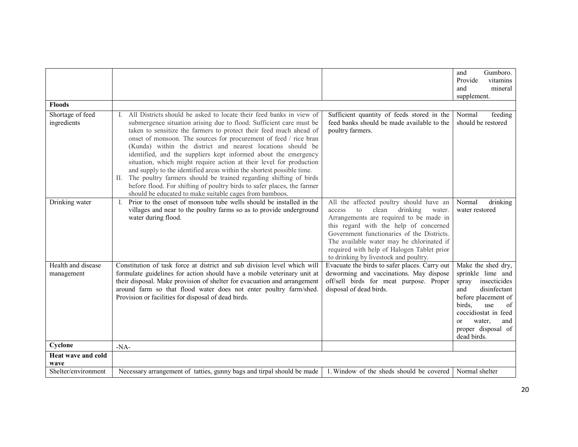| <b>Floods</b>                    |                                                                                                                                                                                                                                                                                                                                                                                                                                                                                                                                                                                                                                                                                                                                                                                        |                                                                                                                                                                                                                                                                                                                                                               | Gumboro.<br>and<br>Provide<br>vitamins<br>mineral<br>and<br>supplement.                                                                                                                                                              |
|----------------------------------|----------------------------------------------------------------------------------------------------------------------------------------------------------------------------------------------------------------------------------------------------------------------------------------------------------------------------------------------------------------------------------------------------------------------------------------------------------------------------------------------------------------------------------------------------------------------------------------------------------------------------------------------------------------------------------------------------------------------------------------------------------------------------------------|---------------------------------------------------------------------------------------------------------------------------------------------------------------------------------------------------------------------------------------------------------------------------------------------------------------------------------------------------------------|--------------------------------------------------------------------------------------------------------------------------------------------------------------------------------------------------------------------------------------|
| Shortage of feed<br>ingredients  | All Districts should be asked to locate their feed banks in view of<br>submergence situation arising due to flood. Sufficient care must be<br>taken to sensitize the farmers to protect their feed much ahead of<br>onset of monsoon. The sources for procurement of feed / rice bran<br>(Kunda) within the district and nearest locations should be<br>identified, and the suppliers kept informed about the emergency<br>situation, which might require action at their level for production<br>and supply to the identified areas within the shortest possible time.<br>II. The poultry farmers should be trained regarding shifting of birds<br>before flood. For shifting of poultry birds to safer places, the farmer<br>should be educated to make suitable cages from bamboos. | Sufficient quantity of feeds stored in the<br>feed banks should be made available to the<br>poultry farmers.                                                                                                                                                                                                                                                  | Normal<br>feeding<br>should be restored                                                                                                                                                                                              |
| Drinking water                   | Prior to the onset of monsoon tube wells should be installed in the<br>villages and near to the poultry farms so as to provide underground<br>water during flood.                                                                                                                                                                                                                                                                                                                                                                                                                                                                                                                                                                                                                      | All the affected poultry should have an<br>drinking<br>to<br>clean<br>access<br>water.<br>Arrangements are required to be made in<br>this regard with the help of concerned<br>Government functionaries of the Districts.<br>The available water may be chlorinated if<br>required with help of Halogen Tablet prior<br>to drinking by livestock and poultry. | Normal<br>drinking<br>water restored                                                                                                                                                                                                 |
| Health and disease<br>management | Constitution of task force at district and sub division level which will<br>formulate guidelines for action should have a mobile veterinary unit at<br>their disposal. Make provision of shelter for evacuation and arrangement<br>around farm so that flood water does not enter poultry farm/shed.<br>Provision or facilities for disposal of dead birds.                                                                                                                                                                                                                                                                                                                                                                                                                            | Evacuate the birds to safer places. Carry out<br>deworming and vaccinations. May dispose<br>off/sell birds for meat purpose. Proper<br>disposal of dead birds.                                                                                                                                                                                                | Make the shed dry,<br>sprinkle lime and<br>insecticides<br>spray<br>disinfectant<br>and<br>before placement of<br>birds.<br>use<br>of<br>coccidiostat in feed<br>water,<br><sub>or</sub><br>and<br>proper disposal of<br>dead birds. |
| Cyclone                          | $-NA-$                                                                                                                                                                                                                                                                                                                                                                                                                                                                                                                                                                                                                                                                                                                                                                                 |                                                                                                                                                                                                                                                                                                                                                               |                                                                                                                                                                                                                                      |
| Heat wave and cold<br>wave       |                                                                                                                                                                                                                                                                                                                                                                                                                                                                                                                                                                                                                                                                                                                                                                                        |                                                                                                                                                                                                                                                                                                                                                               |                                                                                                                                                                                                                                      |
| Shelter/environment              | Necessary arrangement of tatties, gunny bags and tirpal should be made                                                                                                                                                                                                                                                                                                                                                                                                                                                                                                                                                                                                                                                                                                                 | 1. Window of the sheds should be covered                                                                                                                                                                                                                                                                                                                      | Normal shelter                                                                                                                                                                                                                       |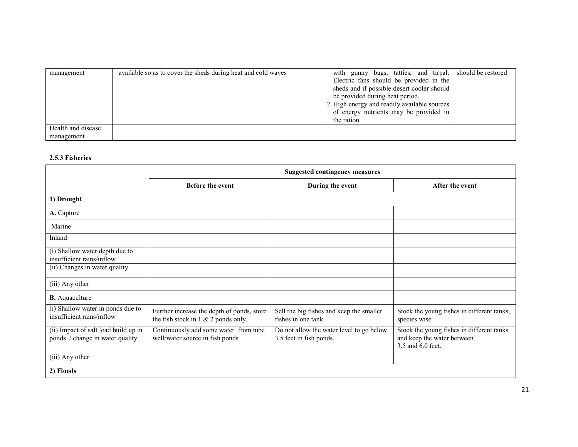| management         | available so as to cover the sheds during heat and cold waves | with gunny bags, tatties, and tirpal. should be restored |  |
|--------------------|---------------------------------------------------------------|----------------------------------------------------------|--|
|                    |                                                               | Electric fans should be provided in the                  |  |
|                    |                                                               | sheds and if possible desert cooler should               |  |
|                    |                                                               | be provided during heat period.                          |  |
|                    |                                                               | 2. High energy and readily available sources             |  |
|                    |                                                               | of energy nutrients may be provided in                   |  |
|                    |                                                               | the ration.                                              |  |
| Health and disease |                                                               |                                                          |  |
| management         |                                                               |                                                          |  |

## 2.5.3 Fisheries

|                                                                         | <b>Suggested contingency measures</b>                                                |                                                                     |                                                                                              |
|-------------------------------------------------------------------------|--------------------------------------------------------------------------------------|---------------------------------------------------------------------|----------------------------------------------------------------------------------------------|
|                                                                         | <b>Before the event</b>                                                              | During the event                                                    | After the event                                                                              |
| 1) Drought                                                              |                                                                                      |                                                                     |                                                                                              |
| A. Capture                                                              |                                                                                      |                                                                     |                                                                                              |
| Marine                                                                  |                                                                                      |                                                                     |                                                                                              |
| Inland                                                                  |                                                                                      |                                                                     |                                                                                              |
| (i) Shallow water depth due to<br>insufficient rains/inflow             |                                                                                      |                                                                     |                                                                                              |
| (ii) Changes in water quality                                           |                                                                                      |                                                                     |                                                                                              |
| (iii) Any other                                                         |                                                                                      |                                                                     |                                                                                              |
| <b>B.</b> Aquaculture                                                   |                                                                                      |                                                                     |                                                                                              |
| (i) Shallow water in ponds due to<br>insufficient rains/inflow          | Further increase the depth of ponds, store<br>the fish stock in $1 \& 2$ ponds only. | Sell the big fishes and keep the smaller<br>fishes in one tank.     | Stock the young fishes in different tanks,<br>species wise.                                  |
| (ii) Impact of salt load build up in<br>ponds / change in water quality | Continuously add some water from tube<br>well/water source in fish ponds             | Do not allow the water level to go below<br>3.5 feet in fish ponds. | Stock the young fishes in different tanks<br>and keep the water between<br>3.5 and 6.0 feet. |
| (iii) Any other                                                         |                                                                                      |                                                                     |                                                                                              |
| 2) Floods                                                               |                                                                                      |                                                                     |                                                                                              |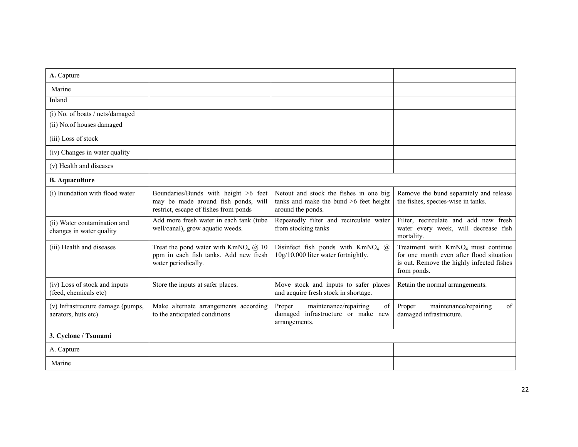| A. Capture                                               |                                                                                                                      |                                                                                                         |                                                                                                                                              |
|----------------------------------------------------------|----------------------------------------------------------------------------------------------------------------------|---------------------------------------------------------------------------------------------------------|----------------------------------------------------------------------------------------------------------------------------------------------|
| Marine                                                   |                                                                                                                      |                                                                                                         |                                                                                                                                              |
| Inland                                                   |                                                                                                                      |                                                                                                         |                                                                                                                                              |
| (i) No. of boats / nets/damaged                          |                                                                                                                      |                                                                                                         |                                                                                                                                              |
| (ii) No.of houses damaged                                |                                                                                                                      |                                                                                                         |                                                                                                                                              |
| (iii) Loss of stock                                      |                                                                                                                      |                                                                                                         |                                                                                                                                              |
| (iv) Changes in water quality                            |                                                                                                                      |                                                                                                         |                                                                                                                                              |
| (v) Health and diseases                                  |                                                                                                                      |                                                                                                         |                                                                                                                                              |
| <b>B.</b> Aquaculture                                    |                                                                                                                      |                                                                                                         |                                                                                                                                              |
| (i) Inundation with flood water                          | Boundaries/Bunds with height >6 feet<br>may be made around fish ponds, will<br>restrict, escape of fishes from ponds | Netout and stock the fishes in one big<br>tanks and make the bund $>6$ feet height<br>around the ponds. | Remove the bund separately and release<br>the fishes, species-wise in tanks.                                                                 |
| (ii) Water contamination and<br>changes in water quality | Add more fresh water in each tank (tube<br>well/canal), grow aquatic weeds.                                          | Repeatedly filter and recirculate water<br>from stocking tanks                                          | Filter, recirculate and add new fresh<br>water every week, will decrease fish<br>mortality.                                                  |
| (iii) Health and diseases                                | Treat the pond water with $KmNO4$ ( $\ddot{a}$ ) 10<br>ppm in each fish tanks. Add new fresh<br>water periodically.  | Disinfect fish ponds with $KmNO4$ (a)<br>10g/10,000 liter water fortnightly.                            | Treatment with $KmNO4$ must continue<br>for one month even after flood situation<br>is out. Remove the highly infected fishes<br>from ponds. |
| (iv) Loss of stock and inputs<br>(feed, chemicals etc)   | Store the inputs at safer places.                                                                                    | Move stock and inputs to safer places<br>and acquire fresh stock in shortage.                           | Retain the normal arrangements.                                                                                                              |
| (v) Infrastructure damage (pumps,<br>aerators, huts etc) | Make alternate arrangements according<br>to the anticipated conditions                                               | Proper<br>maintenance/repairing<br>of<br>damaged infrastructure or make new<br>arrangements.            | of<br>Proper<br>maintenance/repairing<br>damaged infrastructure.                                                                             |
| 3. Cyclone / Tsunami                                     |                                                                                                                      |                                                                                                         |                                                                                                                                              |
| A. Capture                                               |                                                                                                                      |                                                                                                         |                                                                                                                                              |
| Marine                                                   |                                                                                                                      |                                                                                                         |                                                                                                                                              |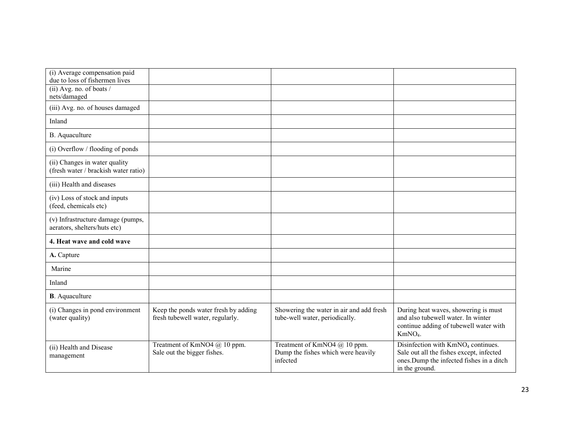| (i) Average compensation paid<br>due to loss of fishermen lives       |                                                                          |                                                                                |                                                                                                                                                           |
|-----------------------------------------------------------------------|--------------------------------------------------------------------------|--------------------------------------------------------------------------------|-----------------------------------------------------------------------------------------------------------------------------------------------------------|
| (ii) Avg. no. of boats $/$<br>nets/damaged                            |                                                                          |                                                                                |                                                                                                                                                           |
| (iii) Avg. no. of houses damaged                                      |                                                                          |                                                                                |                                                                                                                                                           |
| Inland                                                                |                                                                          |                                                                                |                                                                                                                                                           |
| B. Aquaculture                                                        |                                                                          |                                                                                |                                                                                                                                                           |
| (i) Overflow / flooding of ponds                                      |                                                                          |                                                                                |                                                                                                                                                           |
| (ii) Changes in water quality<br>(fresh water / brackish water ratio) |                                                                          |                                                                                |                                                                                                                                                           |
| (iii) Health and diseases                                             |                                                                          |                                                                                |                                                                                                                                                           |
| (iv) Loss of stock and inputs<br>(feed, chemicals etc)                |                                                                          |                                                                                |                                                                                                                                                           |
| (v) Infrastructure damage (pumps,<br>aerators, shelters/huts etc)     |                                                                          |                                                                                |                                                                                                                                                           |
| 4. Heat wave and cold wave                                            |                                                                          |                                                                                |                                                                                                                                                           |
| A. Capture                                                            |                                                                          |                                                                                |                                                                                                                                                           |
| Marine                                                                |                                                                          |                                                                                |                                                                                                                                                           |
| Inland                                                                |                                                                          |                                                                                |                                                                                                                                                           |
| <b>B</b> . Aquaculture                                                |                                                                          |                                                                                |                                                                                                                                                           |
| (i) Changes in pond environment<br>(water quality)                    | Keep the ponds water fresh by adding<br>fresh tubewell water, regularly. | Showering the water in air and add fresh<br>tube-well water, periodically.     | During heat waves, showering is must<br>and also tubewell water. In winter<br>continue adding of tubewell water with<br>KmNO <sub>4</sub> .               |
| (ii) Health and Disease<br>management                                 | Treatment of KmNO4 @ 10 ppm.<br>Sale out the bigger fishes.              | Treatment of KmNO4 @ 10 ppm.<br>Dump the fishes which were heavily<br>infected | Disinfection with KmNO <sub>4</sub> continues.<br>Sale out all the fishes except, infected<br>ones. Dump the infected fishes in a ditch<br>in the ground. |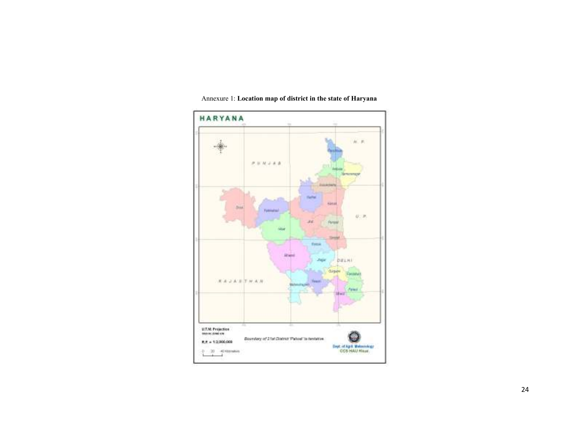

## Annexure 1: Location map of district in the state of Haryana